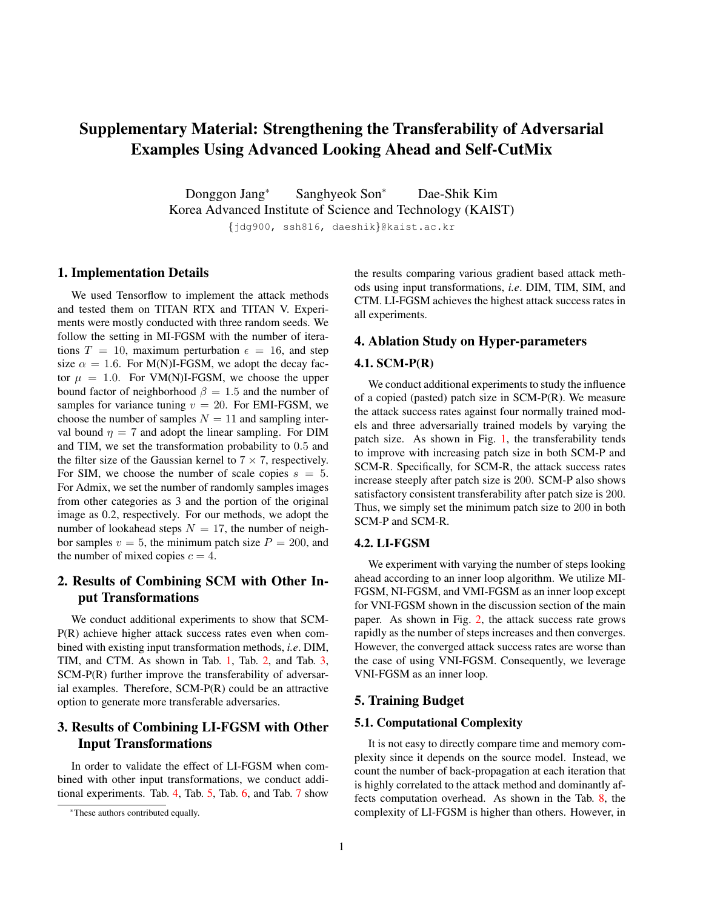# Supplementary Material: Strengthening the Transferability of Adversarial Examples Using Advanced Looking Ahead and Self-CutMix

Donggon Jang\* Sanghyeok Son<sup>∗</sup> Dae-Shik Kim Korea Advanced Institute of Science and Technology (KAIST) {jdg900, ssh816, daeshik}@kaist.ac.kr

#### 1. Implementation Details

We used Tensorflow to implement the attack methods and tested them on TITAN RTX and TITAN V. Experiments were mostly conducted with three random seeds. We follow the setting in MI-FGSM with the number of iterations  $T = 10$ , maximum perturbation  $\epsilon = 16$ , and step size  $\alpha = 1.6$ . For M(N)I-FGSM, we adopt the decay factor  $\mu = 1.0$ . For VM(N)I-FGSM, we choose the upper bound factor of neighborhood  $\beta = 1.5$  and the number of samples for variance tuning  $v = 20$ . For EMI-FGSM, we choose the number of samples  $N = 11$  and sampling interval bound  $\eta = 7$  and adopt the linear sampling. For DIM and TIM, we set the transformation probability to 0.5 and the filter size of the Gaussian kernel to  $7 \times 7$ , respectively. For SIM, we choose the number of scale copies  $s = 5$ . For Admix, we set the number of randomly samples images from other categories as 3 and the portion of the original image as 0.2, respectively. For our methods, we adopt the number of lookahead steps  $N = 17$ , the number of neighbor samples  $v = 5$ , the minimum patch size  $P = 200$ , and the number of mixed copies  $c = 4$ .

## 2. Results of Combining SCM with Other Input Transformations

We conduct additional experiments to show that SCM-P(R) achieve higher attack success rates even when combined with existing input transformation methods, *i.e*. DIM, TIM, and CTM. As shown in Tab. 1, Tab. 2, and Tab. 3, SCM-P(R) further improve the transferability of adversarial examples. Therefore, SCM-P(R) could be an attractive option to generate more transferable adversaries.

# 3. Results of Combining LI-FGSM with Other Input Transformations

In order to validate the effect of LI-FGSM when combined with other input transformations, we conduct additional experiments. Tab. 4, Tab. 5, Tab. 6, and Tab. 7 show the results comparing various gradient based attack methods using input transformations, *i.e*. DIM, TIM, SIM, and CTM. LI-FGSM achieves the highest attack success rates in all experiments.

## 4. Ablation Study on Hyper-parameters

#### 4.1. SCM-P(R)

We conduct additional experiments to study the influence of a copied (pasted) patch size in SCM-P(R). We measure the attack success rates against four normally trained models and three adversarially trained models by varying the patch size. As shown in Fig. 1, the transferability tends to improve with increasing patch size in both SCM-P and SCM-R. Specifically, for SCM-R, the attack success rates increase steeply after patch size is 200. SCM-P also shows satisfactory consistent transferability after patch size is 200. Thus, we simply set the minimum patch size to 200 in both SCM-P and SCM-R.

## 4.2. LI-FGSM

We experiment with varying the number of steps looking ahead according to an inner loop algorithm. We utilize MI-FGSM, NI-FGSM, and VMI-FGSM as an inner loop except for VNI-FGSM shown in the discussion section of the main paper. As shown in Fig. 2, the attack success rate grows rapidly as the number of steps increases and then converges. However, the converged attack success rates are worse than the case of using VNI-FGSM. Consequently, we leverage VNI-FGSM as an inner loop.

## 5. Training Budget

#### 5.1. Computational Complexity

It is not easy to directly compare time and memory complexity since it depends on the source model. Instead, we count the number of back-propagation at each iteration that is highly correlated to the attack method and dominantly affects computation overhead. As shown in the Tab. 8, the complexity of LI-FGSM is higher than others. However, in

<sup>\*</sup>These authors contributed equally.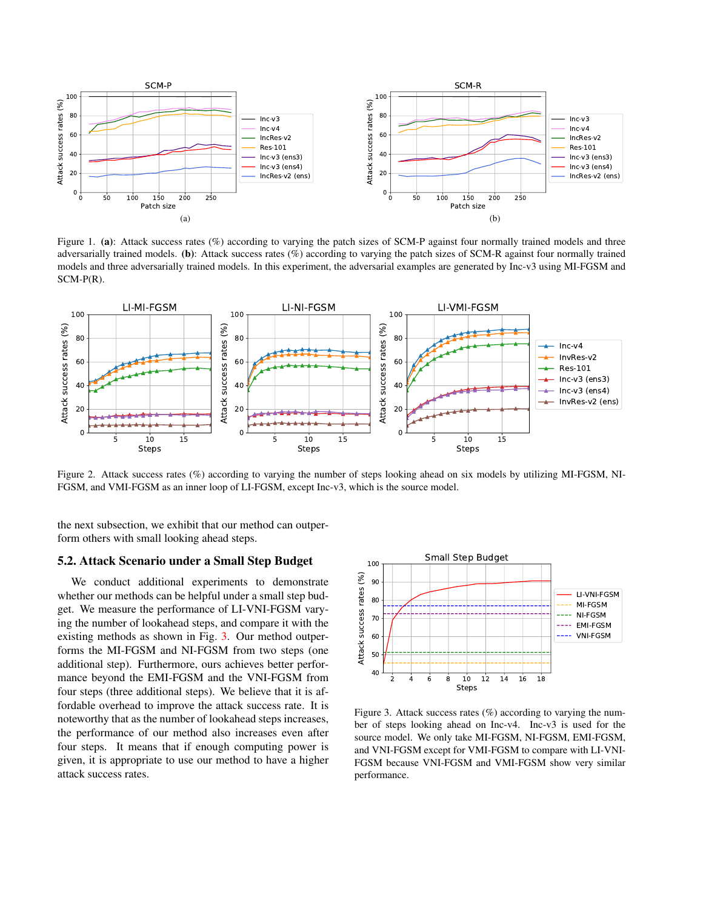

Figure 1. (a): Attack success rates (%) according to varying the patch sizes of SCM-P against four normally trained models and three adversarially trained models. (b): Attack success rates (%) according to varying the patch sizes of SCM-R against four normally trained models and three adversarially trained models. In this experiment, the adversarial examples are generated by Inc-v3 using MI-FGSM and SCM-P(R).



Figure 2. Attack success rates (%) according to varying the number of steps looking ahead on six models by utilizing MI-FGSM, NI-FGSM, and VMI-FGSM as an inner loop of LI-FGSM, except Inc-v3, which is the source model.

the next subsection, we exhibit that our method can outperform others with small looking ahead steps.

#### 5.2. Attack Scenario under a Small Step Budget

We conduct additional experiments to demonstrate whether our methods can be helpful under a small step budget. We measure the performance of LI-VNI-FGSM varying the number of lookahead steps, and compare it with the existing methods as shown in Fig. 3. Our method outperforms the MI-FGSM and NI-FGSM from two steps (one additional step). Furthermore, ours achieves better performance beyond the EMI-FGSM and the VNI-FGSM from four steps (three additional steps). We believe that it is affordable overhead to improve the attack success rate. It is noteworthy that as the number of lookahead steps increases, the performance of our method also increases even after four steps. It means that if enough computing power is given, it is appropriate to use our method to have a higher attack success rates.



Figure 3. Attack success rates (%) according to varying the number of steps looking ahead on Inc-v4. Inc-v3 is used for the source model. We only take MI-FGSM, NI-FGSM, EMI-FGSM, and VNI-FGSM except for VMI-FGSM to compare with LI-VNI-FGSM because VNI-FGSM and VMI-FGSM show very similar performance.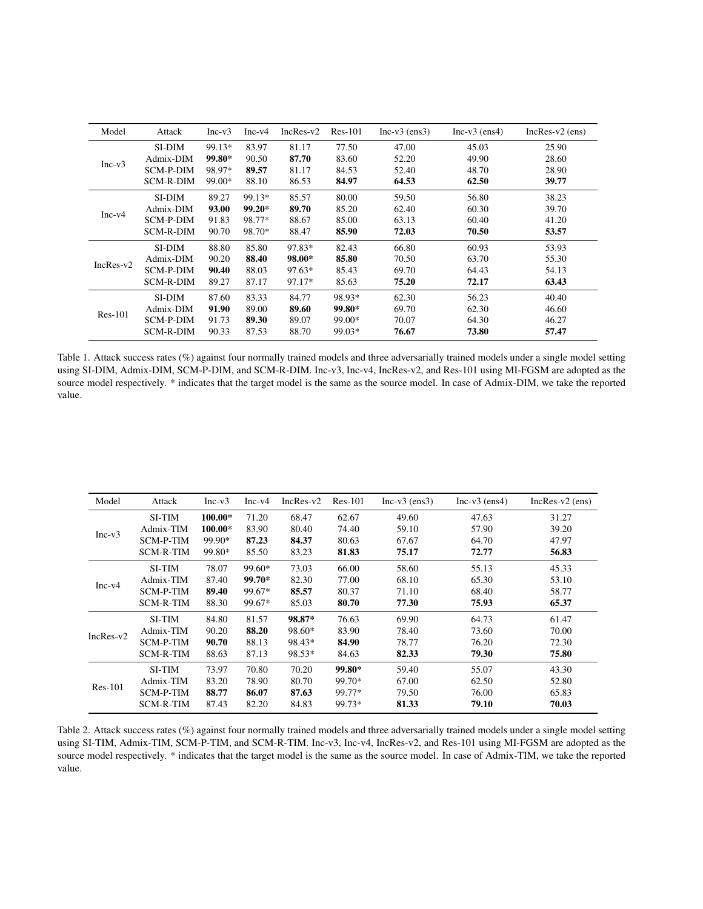| Model       | Attack           | $Inc-v3$ | $Inc-v4$ | $IncRes-v2$ | $Res-101$ | $Inc-v3$ (ens3) | $Inc-v3$ (ens4) | $IncRes-v2$ (ens) |
|-------------|------------------|----------|----------|-------------|-----------|-----------------|-----------------|-------------------|
|             | SI-DIM           | 99.13*   | 83.97    | 81.17       | 77.50     | 47.00           | 45.03           | 25.90             |
|             | Admix-DIM        | 99.80*   | 90.50    | 87.70       | 83.60     | 52.20           | 49.90           | 28.60             |
| $Inc-v3$    | SCM-P-DIM        | 98.97*   | 89.57    | 81.17       | 84.53     | 52.40           | 48.70           | 28.90             |
|             | <b>SCM-R-DIM</b> | 99.00*   | 88.10    | 86.53       | 84.97     | 64.53           | 62.50           | 39.77             |
|             | SI-DIM           | 89.27    | 99.13*   | 85.57       | 80.00     | 59.50           | 56.80           | 38.23             |
|             | Admix-DIM        | 93.00    | $99.20*$ | 89.70       | 85.20     | 62.40           | 60.30           | 39.70             |
| $Inc-v4$    | SCM-P-DIM        | 91.83    | 98.77*   | 88.67       | 85.00     | 63.13           | 60.40           | 41.20             |
|             | <b>SCM-R-DIM</b> | 90.70    | 98.70*   | 88.47       | 85.90     | 72.03           | 70.50           | 53.57             |
|             | SI-DIM           | 88.80    | 85.80    | 97.83*      | 82.43     | 66.80           | 60.93           | 53.93             |
| $IncRes-v2$ | Admix-DIM        | 90.20    | 88.40    | 98.00*      | 85.80     | 70.50           | 63.70           | 55.30             |
|             | SCM-P-DIM        | 90.40    | 88.03    | $97.63*$    | 85.43     | 69.70           | 64.43           | 54.13             |
|             | <b>SCM-R-DIM</b> | 89.27    | 87.17    | 97.17*      | 85.63     | 75.20           | 72.17           | 63.43             |
|             | SI-DIM           | 87.60    | 83.33    | 84.77       | 98.93*    | 62.30           | 56.23           | 40.40             |
| $Res-101$   | Admix-DIM        | 91.90    | 89.00    | 89.60       | 99.80*    | 69.70           | 62.30           | 46.60             |
|             | <b>SCM-P-DIM</b> | 91.73    | 89.30    | 89.07       | 99.00*    | 70.07           | 64.30           | 46.27             |
|             | SCM-R-DIM        | 90.33    | 87.53    | 88.70       | 99.03*    | 76.67           | 73.80           | 57.47             |

Table 1. Attack success rates (%) against four normally trained models and three adversarially trained models under a single model setting using SI-DIM, Admix-DIM, SCM-P-DIM, and SCM-R-DIM. Inc-v3, Inc-v4, IncRes-v2, and Res-101 using MI-FGSM are adopted as the source model respectively. \* indicates that the target model is the same as the source model. In case of Admix-DIM, we take the reported value.

| Model       | Attack           | $Inc-v3$ | $Inc-v4$ | $IncRes-v2$ | $Res-101$ | $Inc-v3$ (ens3) | $Inc-v3$ (ens4) | $IncRes-v2$ (ens) |
|-------------|------------------|----------|----------|-------------|-----------|-----------------|-----------------|-------------------|
|             | <b>SI-TIM</b>    | 100.00*  | 71.20    | 68.47       | 62.67     | 49.60           | 47.63           | 31.27             |
| $Inc-v3$    | Admix-TIM        | 100.00*  | 83.90    | 80.40       | 74.40     | 59.10           | 57.90           | 39.20             |
|             | <b>SCM-P-TIM</b> | 99.90*   | 87.23    | 84.37       | 80.63     | 67.67           | 64.70           | 47.97             |
|             | <b>SCM-R-TIM</b> | 99.80*   | 85.50    | 83.23       | 81.83     | 75.17           | 72.77           | 56.83             |
|             | <b>SI-TIM</b>    | 78.07    | 99.60*   | 73.03       | 66.00     | 58.60           | 55.13           | 45.33             |
|             | Admix-TIM        | 87.40    | 99.70*   | 82.30       | 77.00     | 68.10           | 65.30           | 53.10             |
| $Inc-v4$    | <b>SCM-P-TIM</b> | 89.40    | 99.67*   | 85.57       | 80.37     | 71.10           | 68.40           | 58.77             |
|             | <b>SCM-R-TIM</b> | 88.30    | 99.67*   | 85.03       | 80.70     | 77.30           | 75.93           | 65.37             |
|             | <b>SI-TIM</b>    | 84.80    | 81.57    | 98.87*      | 76.63     | 69.90           | 64.73           | 61.47             |
| $IncRes-v2$ | Admix-TIM        | 90.20    | 88.20    | 98.60*      | 83.90     | 78.40           | 73.60           | 70.00             |
|             | <b>SCM-P-TIM</b> | 90.70    | 88.13    | 98.43*      | 84.90     | 78.77           | 76.20           | 72.30             |
|             | <b>SCM-R-TIM</b> | 88.63    | 87.13    | 98.53*      | 84.63     | 82.33           | 79.30           | 75.80             |
|             | <b>SI-TIM</b>    | 73.97    | 70.80    | 70.20       | 99.80*    | 59.40           | 55.07           | 43.30             |
| $Res-101$   | Admix-TIM        | 83.20    | 78.90    | 80.70       | 99.70*    | 67.00           | 62.50           | 52.80             |
|             | <b>SCM-P-TIM</b> | 88.77    | 86.07    | 87.63       | 99.77*    | 79.50           | 76.00           | 65.83             |
|             | <b>SCM-R-TIM</b> | 87.43    | 82.20    | 84.83       | 99.73*    | 81.33           | 79.10           | 70.03             |

Table 2. Attack success rates (%) against four normally trained models and three adversarially trained models under a single model setting using SI-TIM, Admix-TIM, SCM-P-TIM, and SCM-R-TIM. Inc-v3, Inc-v4, IncRes-v2, and Res-101 using MI-FGSM are adopted as the source model respectively. \* indicates that the target model is the same as the source model. In case of Admix-TIM, we take the reported value.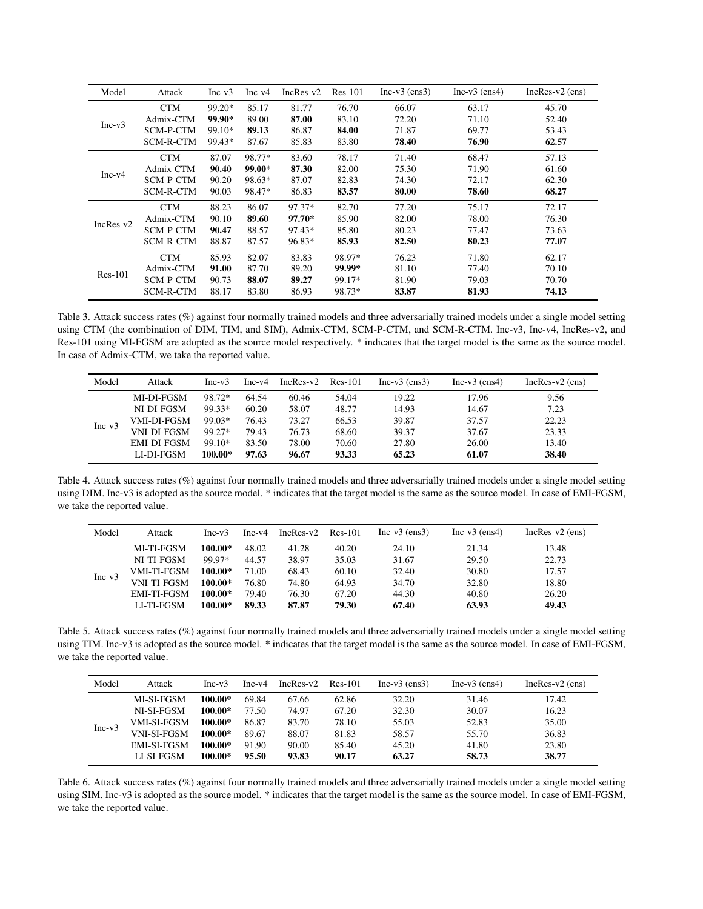| Model       | Attack           | $Inc-v3$ | $Inc-v4$ | $IncRes-v2$ | $Res-101$ | $Inc-v3$ (ens3) | $Inc-v3$ (ens4) | $IncRes-v2$ (ens) |
|-------------|------------------|----------|----------|-------------|-----------|-----------------|-----------------|-------------------|
|             | <b>CTM</b>       | 99.20*   | 85.17    | 81.77       | 76.70     | 66.07           | 63.17           | 45.70             |
| $Inc-v3$    | Admix-CTM        | 99.90*   | 89.00    | 87.00       | 83.10     | 72.20           | 71.10           | 52.40             |
|             | SCM-P-CTM        | 99.10*   | 89.13    | 86.87       | 84.00     | 71.87           | 69.77           | 53.43             |
|             | SCM-R-CTM        | 99.43*   | 87.67    | 85.83       | 83.80     | 78.40           | 76.90           | 62.57             |
|             | <b>CTM</b>       | 87.07    | 98.77*   | 83.60       | 78.17     | 71.40           | 68.47           | 57.13             |
| $Inc-v4$    | Admix-CTM        | 90.40    | 99.00*   | 87.30       | 82.00     | 75.30           | 71.90           | 61.60             |
|             | SCM-P-CTM        | 90.20    | 98.63*   | 87.07       | 82.83     | 74.30           | 72.17           | 62.30             |
|             | SCM-R-CTM        | 90.03    | 98.47*   | 86.83       | 83.57     | 80.00           | 78.60           | 68.27             |
|             | <b>CTM</b>       | 88.23    | 86.07    | 97.37*      | 82.70     | 77.20           | 75.17           | 72.17             |
| $IncRes-v2$ | Admix-CTM        | 90.10    | 89.60    | 97.70*      | 85.90     | 82.00           | 78.00           | 76.30             |
|             | <b>SCM-P-CTM</b> | 90.47    | 88.57    | 97.43*      | 85.80     | 80.23           | 77.47           | 73.63             |
|             | SCM-R-CTM        | 88.87    | 87.57    | 96.83*      | 85.93     | 82.50           | 80.23           | 77.07             |
|             | <b>CTM</b>       | 85.93    | 82.07    | 83.83       | 98.97*    | 76.23           | 71.80           | 62.17             |
| $Res-101$   | Admix-CTM        | 91.00    | 87.70    | 89.20       | 99.99*    | 81.10           | 77.40           | 70.10             |
|             | SCM-P-CTM        | 90.73    | 88.07    | 89.27       | 99.17*    | 81.90           | 79.03           | 70.70             |
|             | SCM-R-CTM        | 88.17    | 83.80    | 86.93       | 98.73*    | 83.87           | 81.93           | 74.13             |

Table 3. Attack success rates (%) against four normally trained models and three adversarially trained models under a single model setting using CTM (the combination of DIM, TIM, and SIM), Admix-CTM, SCM-P-CTM, and SCM-R-CTM. Inc-v3, Inc-v4, IncRes-v2, and Res-101 using MI-FGSM are adopted as the source model respectively. \* indicates that the target model is the same as the source model. In case of Admix-CTM, we take the reported value.

| Model    | Attack             | $Inc-v3$  | $Inc-v4$ | $IncRes-v2$ | Res-101 | $Inc-v3$ (ens3) | $Inc-v3$ (ens4) | $IncRes-v2$ (ens) |
|----------|--------------------|-----------|----------|-------------|---------|-----------------|-----------------|-------------------|
| $Inc-v3$ | MI-DI-FGSM         | 98.72*    | 64.54    | 60.46       | 54.04   | 19.22           | 17.96           | 9.56              |
|          | NI-DI-FGSM         | 99.33*    | 60.20    | 58.07       | 48.77   | 14.93           | 14.67           | 7.23              |
|          | VMI-DI-FGSM        | 99.03*    | 76.43    | 73.27       | 66.53   | 39.87           | 37.57           | 22.23             |
|          | <b>VNI-DI-FGSM</b> | 99.27*    | 79.43    | 76.73       | 68.60   | 39.37           | 37.67           | 23.33             |
|          | EMI-DI-FGSM        | 99.10*    | 83.50    | 78.00       | 70.60   | 27.80           | 26.00           | 13.40             |
|          | LI-DI-FGSM         | $100.00*$ | 97.63    | 96.67       | 93.33   | 65.23           | 61.07           | 38.40             |

Table 4. Attack success rates (%) against four normally trained models and three adversarially trained models under a single model setting using DIM. Inc-v3 is adopted as the source model. \* indicates that the target model is the same as the source model. In case of EMI-FGSM, we take the reported value.

| Model    | Attack             | $Inc-v3$ | $Inc-v4$ | $IncRes-v2$ | Res-101 | $Inc-v3$ (ens3) | $Inc-v3$ (ens4) | $IncRes-v2$ (ens) |
|----------|--------------------|----------|----------|-------------|---------|-----------------|-----------------|-------------------|
| $Inc-v3$ | MI-TI-FGSM         | 100.00*  | 48.02    | 41.28       | 40.20   | 24.10           | 21.34           | 13.48             |
|          | NI-TI-FGSM         | 99.97*   | 44.57    | 38.97       | 35.03   | 31.67           | 29.50           | 22.73             |
|          | <b>VMI-TI-FGSM</b> | 100.00*  | 71.00    | 68.43       | 60.10   | 32.40           | 30.80           | 17.57             |
|          | VNI-TI-FGSM        | 100.00*  | 76.80    | 74.80       | 64.93   | 34.70           | 32.80           | 18.80             |
|          | <b>EMI-TI-FGSM</b> | 100.00*  | 79.40    | 76.30       | 67.20   | 44.30           | 40.80           | 26.20             |
|          | LI-TI-FGSM         | 100.00*  | 89.33    | 87.87       | 79.30   | 67.40           | 63.93           | 49.43             |

Table 5. Attack success rates (%) against four normally trained models and three adversarially trained models under a single model setting using TIM. Inc-v3 is adopted as the source model. \* indicates that the target model is the same as the source model. In case of EMI-FGSM, we take the reported value.

| Model    | Attack             | $Inc-v3$  | $Inc-v4$ | $IncRes-v2$ | $Res-101$ | $Inc-v3$ (ens3) | $Inc-v3$ (ens4) | $IncRes-v2$ (ens) |
|----------|--------------------|-----------|----------|-------------|-----------|-----------------|-----------------|-------------------|
| $Inc-v3$ | MI-SI-FGSM         | $100.00*$ | 69.84    | 67.66       | 62.86     | 32.20           | 31.46           | 17.42             |
|          | NI-SI-FGSM         | $100.00*$ | 77.50    | 74.97       | 67.20     | 32.30           | 30.07           | 16.23             |
|          | VMI-SI-FGSM        | $100.00*$ | 86.87    | 83.70       | 78.10     | 55.03           | 52.83           | 35.00             |
|          | <b>VNI-SI-FGSM</b> | $100.00*$ | 89.67    | 88.07       | 81.83     | 58.57           | 55.70           | 36.83             |
|          | EMI-SI-FGSM        | $100.00*$ | 91.90    | 90.00       | 85.40     | 45.20           | 41.80           | 23.80             |
|          | <b>LI-SI-FGSM</b>  | $100.00*$ | 95.50    | 93.83       | 90.17     | 63.27           | 58.73           | 38.77             |

Table 6. Attack success rates (%) against four normally trained models and three adversarially trained models under a single model setting using SIM. Inc-v3 is adopted as the source model. \* indicates that the target model is the same as the source model. In case of EMI-FGSM, we take the reported value.